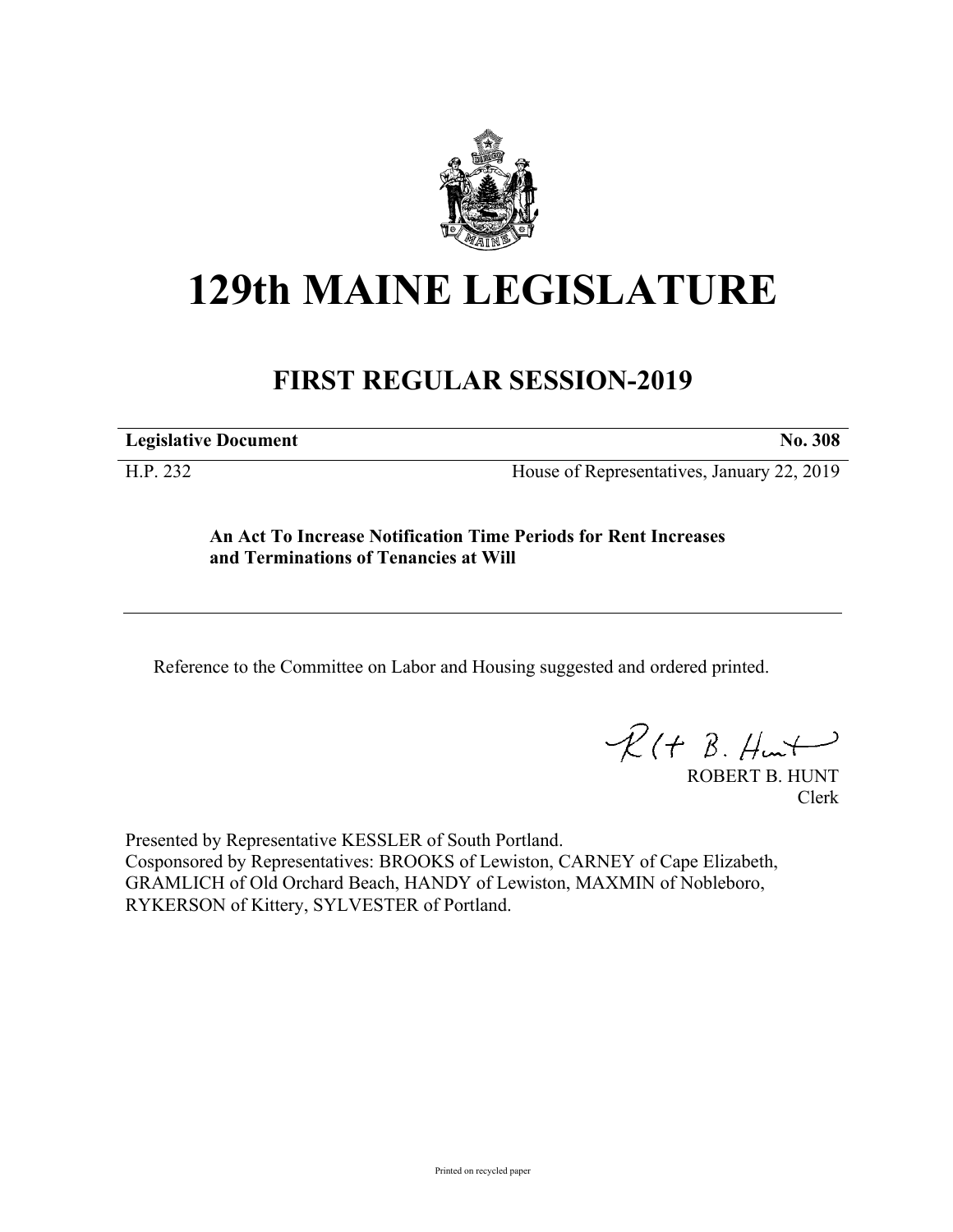

# **129th MAINE LEGISLATURE**

# **FIRST REGULAR SESSION-2019**

**Legislative Document No. 308**

H.P. 232 House of Representatives, January 22, 2019

**An Act To Increase Notification Time Periods for Rent Increases and Terminations of Tenancies at Will**

Reference to the Committee on Labor and Housing suggested and ordered printed.

 $R(t B. Hmt)$ 

ROBERT B. HUNT Clerk

Presented by Representative KESSLER of South Portland. Cosponsored by Representatives: BROOKS of Lewiston, CARNEY of Cape Elizabeth, GRAMLICH of Old Orchard Beach, HANDY of Lewiston, MAXMIN of Nobleboro, RYKERSON of Kittery, SYLVESTER of Portland.